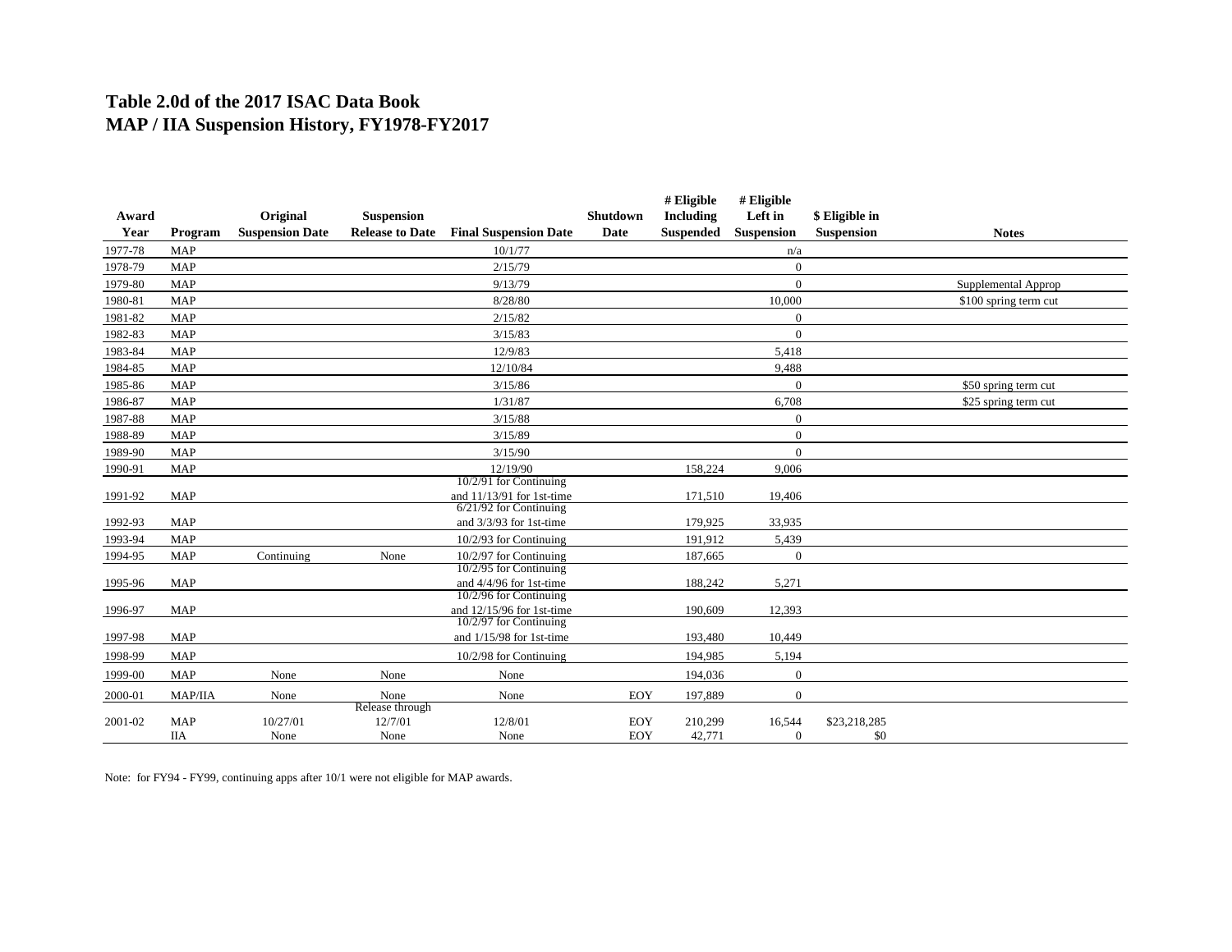## **Table 2.0d of the 2017 ISAC Data Book MAP / IIA Suspension History, FY1978-FY2017**

|         |            |                        |                         |                                                       |          | # Eligible       | # Eligible     |                |                       |
|---------|------------|------------------------|-------------------------|-------------------------------------------------------|----------|------------------|----------------|----------------|-----------------------|
| Award   |            | Original               | <b>Suspension</b>       |                                                       | Shutdown | Including        | Left in        | \$ Eligible in |                       |
| Year    | Program    | <b>Suspension Date</b> | <b>Release to Date</b>  | <b>Final Suspension Date</b>                          | Date     | <b>Suspended</b> | Suspension     | Suspension     | <b>Notes</b>          |
| 1977-78 | <b>MAP</b> |                        |                         | 10/1/77                                               |          |                  | n/a            |                |                       |
| 1978-79 | <b>MAP</b> |                        |                         | 2/15/79                                               |          |                  | $\mathbf{0}$   |                |                       |
| 1979-80 | <b>MAP</b> |                        |                         | 9/13/79                                               |          |                  | $\mathbf{0}$   |                | Supplemental Approp   |
| 1980-81 | <b>MAP</b> |                        |                         | 8/28/80                                               |          |                  | 10,000         |                | \$100 spring term cut |
| 1981-82 | <b>MAP</b> |                        |                         | 2/15/82                                               |          |                  | $\Omega$       |                |                       |
| 1982-83 | <b>MAP</b> |                        |                         | 3/15/83                                               |          |                  | $\mathbf{0}$   |                |                       |
| 1983-84 | <b>MAP</b> |                        |                         | 12/9/83                                               |          |                  | 5,418          |                |                       |
| 1984-85 | <b>MAP</b> |                        |                         | 12/10/84                                              |          |                  | 9,488          |                |                       |
| 1985-86 | <b>MAP</b> |                        |                         | 3/15/86                                               |          |                  | $\mathbf{0}$   |                | \$50 spring term cut  |
| 1986-87 | <b>MAP</b> |                        |                         | 1/31/87                                               |          |                  | 6,708          |                | \$25 spring term cut  |
| 1987-88 | <b>MAP</b> |                        |                         | 3/15/88                                               |          |                  | $\overline{0}$ |                |                       |
| 1988-89 | <b>MAP</b> |                        |                         | 3/15/89                                               |          |                  | $\mathbf{0}$   |                |                       |
| 1989-90 | <b>MAP</b> |                        |                         | 3/15/90                                               |          |                  | $\overline{0}$ |                |                       |
| 1990-91 | <b>MAP</b> |                        |                         | 12/19/90                                              |          | 158,224          | 9,006          |                |                       |
|         |            |                        |                         | 10/2/91 for Continuing                                |          |                  |                |                |                       |
| 1991-92 | <b>MAP</b> |                        |                         | and 11/13/91 for 1st-time<br>$6/21/92$ for Continuing |          | 171,510          | 19,406         |                |                       |
| 1992-93 | <b>MAP</b> |                        |                         | and $3/3/93$ for 1st-time                             |          | 179,925          | 33,935         |                |                       |
| 1993-94 | <b>MAP</b> |                        |                         | 10/2/93 for Continuing                                |          | 191,912          | 5,439          |                |                       |
| 1994-95 | <b>MAP</b> | Continuing             | None                    | 10/2/97 for Continuing                                |          | 187,665          | $\mathbf{0}$   |                |                       |
|         |            |                        |                         | 10/2/95 for Continuing                                |          |                  |                |                |                       |
| 1995-96 | <b>MAP</b> |                        |                         | and 4/4/96 for 1st-time                               |          | 188,242          | 5,271          |                |                       |
|         |            |                        |                         | 10/2/96 for Continuing                                |          |                  |                |                |                       |
| 1996-97 | <b>MAP</b> |                        |                         | and 12/15/96 for 1st-time<br>$10/2/97$ for Continuing |          | 190,609          | 12,393         |                |                       |
| 1997-98 | <b>MAP</b> |                        |                         | and $1/15/98$ for 1st-time                            |          | 193,480          | 10,449         |                |                       |
| 1998-99 | <b>MAP</b> |                        |                         | 10/2/98 for Continuing                                |          | 194,985          | 5,194          |                |                       |
| 1999-00 | <b>MAP</b> | None                   | None                    | None                                                  |          | 194,036          | $\mathbf{0}$   |                |                       |
|         |            |                        |                         |                                                       |          |                  |                |                |                       |
| 2000-01 | MAP/IIA    | None                   | None<br>Release through | None                                                  | EOY      | 197,889          | $\mathbf{0}$   |                |                       |
| 2001-02 | <b>MAP</b> | 10/27/01               | 12/7/01                 | 12/8/01                                               | EOY      | 210,299          | 16,544         | \$23,218,285   |                       |
|         | <b>IIA</b> | None                   | None                    | None                                                  | EOY      | 42,771           | $\overline{0}$ | \$0            |                       |

Note: for FY94 - FY99, continuing apps after 10/1 were not eligible for MAP awards.